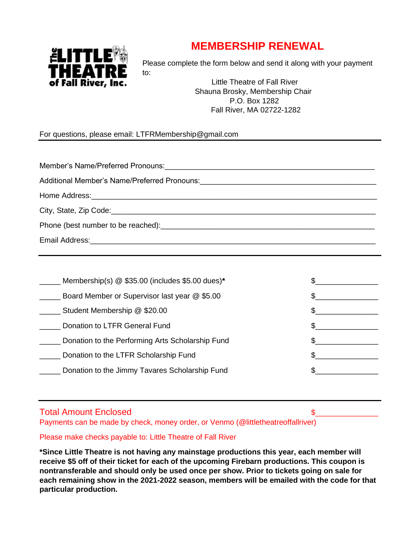## **MEMBERSHIP RENEWAL**



Please complete the form below and send it along with your payment to:

> Little Theatre of Fall River Shauna Brosky, Membership Chair P.O. Box 1282 Fall River, MA 02722-1282

For questions, please email: LTFRMembership@gmail.com

| Additional Member's Name/Preferred Pronouns: ___________________________________                                                                                                                                               |
|--------------------------------------------------------------------------------------------------------------------------------------------------------------------------------------------------------------------------------|
|                                                                                                                                                                                                                                |
| City, State, Zip Code: 2000 City, State, Zip Code:                                                                                                                                                                             |
| Phone (best number to be reached): example and a series of the series of the series of the series of the series of the series of the series of the series of the series of the series of the series of the series of the serie |
|                                                                                                                                                                                                                                |

| Membership(s) @ \$35.00 (includes \$5.00 dues)*  |  |
|--------------------------------------------------|--|
| Board Member or Supervisor last year @ \$5.00    |  |
| Student Membership @ \$20.00                     |  |
| Donation to LTFR General Fund                    |  |
| Donation to the Performing Arts Scholarship Fund |  |
| Donation to the LTFR Scholarship Fund            |  |
| Donation to the Jimmy Tavares Scholarship Fund   |  |
|                                                  |  |

## Total Amount Enclosed \$

Payments can be made by check, money order, or Venmo (@littletheatreoffallriver)

Please make checks payable to: Little Theatre of Fall River

**\*Since Little Theatre is not having any mainstage productions this year, each member will receive \$5 off of their ticket for each of the upcoming Firebarn productions. This coupon is nontransferable and should only be used once per show. Prior to tickets going on sale for each remaining show in the 2021-2022 season, members will be emailed with the code for that particular production.**